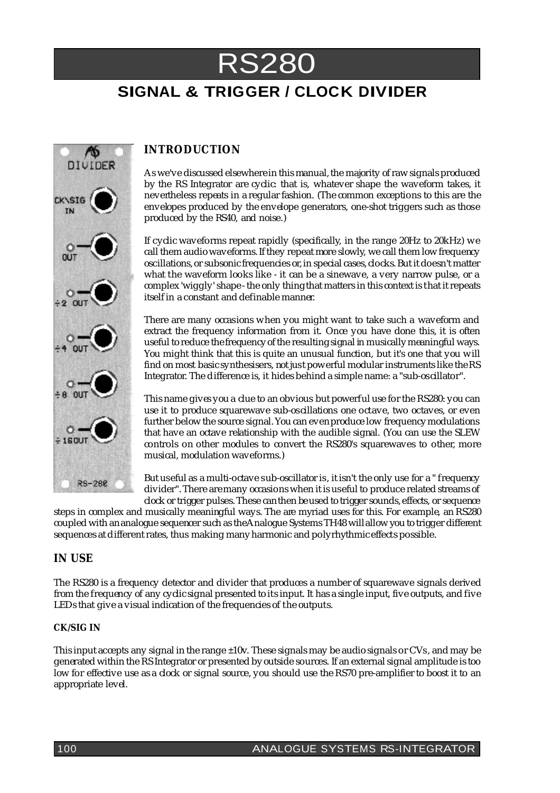# **SIGNAL & TRIGGER / CLOCK DIVIDER** RS280

# Λъ DIVIDER **CK\SIG RS-280**

## **INTRODUCTION**

As we've discussed elsewhere in this manual, the majority of raw signals produced by the RS Integrator are cyclic: that is, whatever shape the waveform takes, it nevertheless repeats in a regular fashion. (The common exceptions to this are the envelopes produced by the envelope generators, one-shot triggers such as those produced by the RS40, and noise.)

If cyclic waveforms repeat rapidly (specifically, in the range 20Hz to 20kHz) we call them audio waveforms. If they repeat more slowly, we call them low frequency oscillations, or subsonic frequencies or, in special cases, clocks.But it doesn't matter what the waveform looks like - it can be a sinewave, a very narrow pulse, or a complex 'wiggly' shape - the only thingthat matters in this context is that itrepeats itself in a constant and definable manner.

There are many occasions when you might want to take such a waveform and extract the frequency information from it. Once you have done this, it is often useful to reduce the frequencyof the resultingsignal in musicallymeaningful ways. You might think that this is quite an unusual function, but it's one that you will find on most basic synthesisers, not just powerful modular instruments like theRS Integrator. The difference is, it hides behind a simple name: a "sub-oscillator".

This name givesyou a clue to an obvious but powerful use for the RS280: you can use it to produce squarewave sub-oscillations one octave, two octaves, or even further below the source signal. You can even produce low frequency modulations that have an octave relationship with the audible signal. (You can use the SLEW controls on other modules to convert the RS280's squarewaves to other, more musical, modulation waveforms.)

But useful as a multi-octave sub-oscillator is, it isn't the only use for a " frequency divider".There aremany occasionswhen it is useful to produce related streams of clock or trigger pulses.These canthen beused to trigger sounds, effects, or sequence

steps in complex and musically meaningful ways. The are myriad uses for this. For example, an RS280 coupled with an analogue sequencer such as theAnalogue Systems TH48 will allow you to trigger different sequences at differentrates, thus making manyharmonic and polyrhythmic effects possible.

### **IN USE**

The RS280 is a frequency detector and divider that produces a number of squarewave signals derived from the frequency of any cyclic signal presented to its input. It has a single input, five outputs, and five LEDs that give a visual indication of the frequencies of the outputs.

#### **CK/SIG IN**

This input accepts any signal in the range  $\pm 10v$ . These signals may be audio signals or CVs, and may be generatedwithin the RS Integrator or presented byoutside sources. If an external signal amplitude is too low for effective use as a clock or signal source, you should use the RS70 pre-amplifier to boost it to an appropriate level.